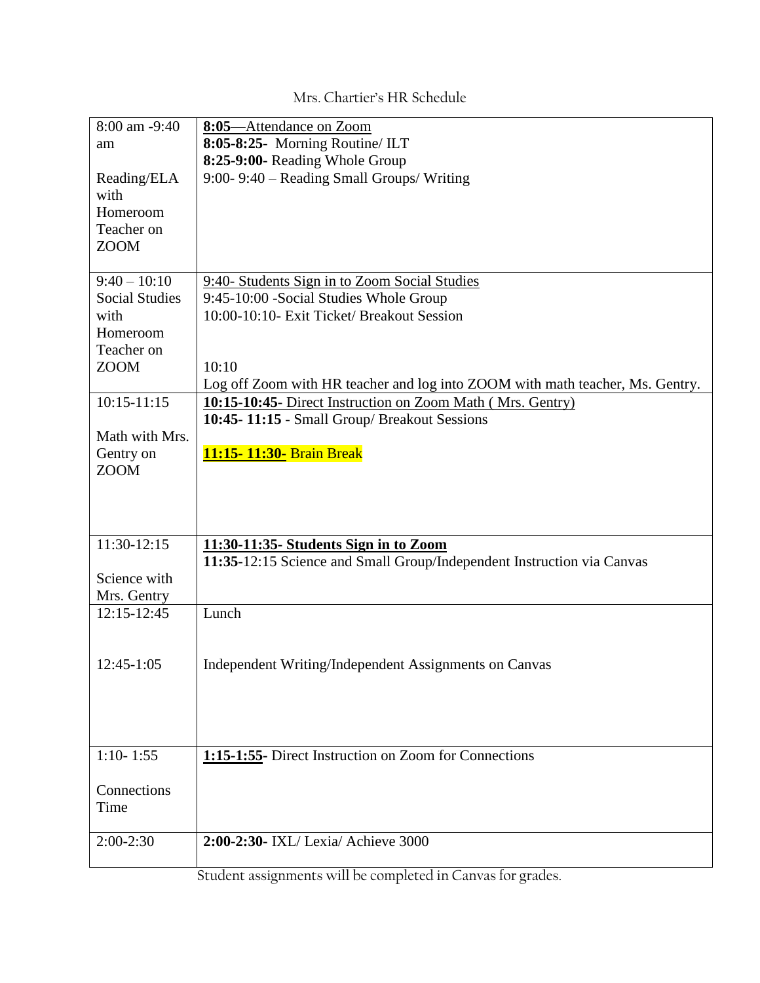| 8:00 am -9:40         | 8:05-Attendance on Zoom                                                       |
|-----------------------|-------------------------------------------------------------------------------|
| am                    | 8:05-8:25- Morning Routine/ ILT                                               |
|                       | 8:25-9:00- Reading Whole Group                                                |
| Reading/ELA           | 9:00-9:40 – Reading Small Groups/Writing                                      |
| with                  |                                                                               |
| Homeroom              |                                                                               |
| Teacher on            |                                                                               |
| <b>ZOOM</b>           |                                                                               |
|                       |                                                                               |
| $9:40 - 10:10$        | 9:40- Students Sign in to Zoom Social Studies                                 |
| <b>Social Studies</b> | 9:45-10:00 - Social Studies Whole Group                                       |
| with                  | 10:00-10:10- Exit Ticket/ Breakout Session                                    |
| Homeroom              |                                                                               |
| Teacher on            |                                                                               |
| <b>ZOOM</b>           | 10:10                                                                         |
|                       | Log off Zoom with HR teacher and log into ZOOM with math teacher, Ms. Gentry. |
| $10:15 - 11:15$       | 10:15-10:45- Direct Instruction on Zoom Math (Mrs. Gentry)                    |
|                       | 10:45-11:15 - Small Group/ Breakout Sessions                                  |
| Math with Mrs.        |                                                                               |
| Gentry on             | 11:15-11:30- Brain Break                                                      |
| <b>ZOOM</b>           |                                                                               |
|                       |                                                                               |
|                       |                                                                               |
|                       |                                                                               |
| 11:30-12:15           | 11:30-11:35- Students Sign in to Zoom                                         |
|                       | 11:35-12:15 Science and Small Group/Independent Instruction via Canvas        |
| Science with          |                                                                               |
| Mrs. Gentry           |                                                                               |
| 12:15-12:45           | Lunch                                                                         |
|                       |                                                                               |
|                       |                                                                               |
| 12:45-1:05            | Independent Writing/Independent Assignments on Canvas                         |
|                       |                                                                               |
|                       |                                                                               |
|                       |                                                                               |
|                       |                                                                               |
| $1:10 - 1:55$         | 1:15-1:55- Direct Instruction on Zoom for Connections                         |
|                       |                                                                               |
| Connections           |                                                                               |
| Time                  |                                                                               |
|                       | 2:00-2:30- IXL/ Lexia/ Achieve 3000                                           |
| $2:00-2:30$           |                                                                               |
|                       |                                                                               |

## Mrs. Chartier's HR Schedule

Student assignments will be completed in Canvas for grades.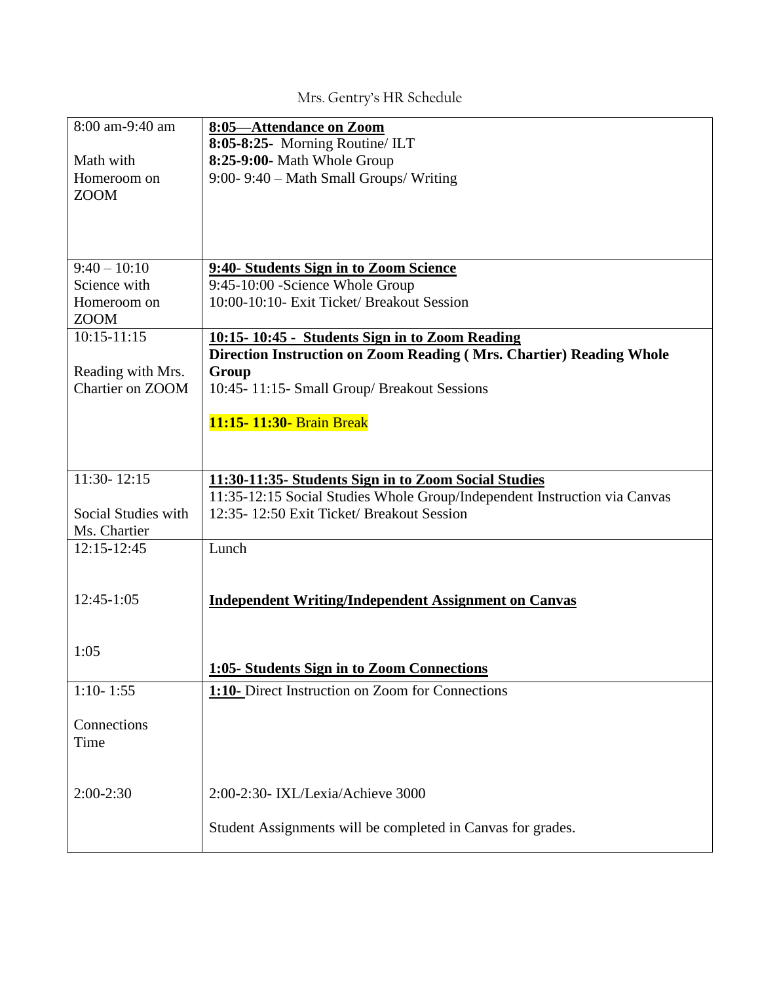## Mrs. Gentry's HR Schedule

| 8:00 am-9:40 am            | 8:05-Attendance on Zoom                                                        |
|----------------------------|--------------------------------------------------------------------------------|
|                            | 8:05-8:25- Morning Routine/ ILT                                                |
| Math with                  | 8:25-9:00- Math Whole Group                                                    |
| Homeroom on                | 9:00-9:40 – Math Small Groups/Writing                                          |
| <b>ZOOM</b>                |                                                                                |
|                            |                                                                                |
|                            |                                                                                |
| $9:40 - 10:10$             |                                                                                |
| Science with               | 9:40- Students Sign in to Zoom Science                                         |
|                            | 9:45-10:00 - Science Whole Group<br>10:00-10:10- Exit Ticket/ Breakout Session |
| Homeroom on<br><b>ZOOM</b> |                                                                                |
| $10:15 - 11:15$            | 10:15-10:45 - Students Sign in to Zoom Reading                                 |
|                            | Direction Instruction on Zoom Reading (Mrs. Chartier) Reading Whole            |
| Reading with Mrs.          | Group                                                                          |
| Chartier on ZOOM           | 10:45-11:15- Small Group/ Breakout Sessions                                    |
|                            |                                                                                |
|                            | 11:15-11:30- Brain Break                                                       |
|                            |                                                                                |
|                            |                                                                                |
| $11:30 - 12:15$            | 11:30-11:35- Students Sign in to Zoom Social Studies                           |
|                            | 11:35-12:15 Social Studies Whole Group/Independent Instruction via Canvas      |
| Social Studies with        | 12:35-12:50 Exit Ticket/ Breakout Session                                      |
| Ms. Chartier               |                                                                                |
| $12:15 - 12:45$            | Lunch                                                                          |
|                            |                                                                                |
|                            |                                                                                |
| 12:45-1:05                 | <b>Independent Writing/Independent Assignment on Canvas</b>                    |
|                            |                                                                                |
| 1:05                       |                                                                                |
|                            | 1:05- Students Sign in to Zoom Connections                                     |
| $1:10 - 1:55$              | 1:10- Direct Instruction on Zoom for Connections                               |
|                            |                                                                                |
| Connections                |                                                                                |
| Time                       |                                                                                |
|                            |                                                                                |
|                            |                                                                                |
| 2:00-2:30                  | 2:00-2:30- IXL/Lexia/Achieve 3000                                              |
|                            |                                                                                |
|                            | Student Assignments will be completed in Canvas for grades.                    |
|                            |                                                                                |